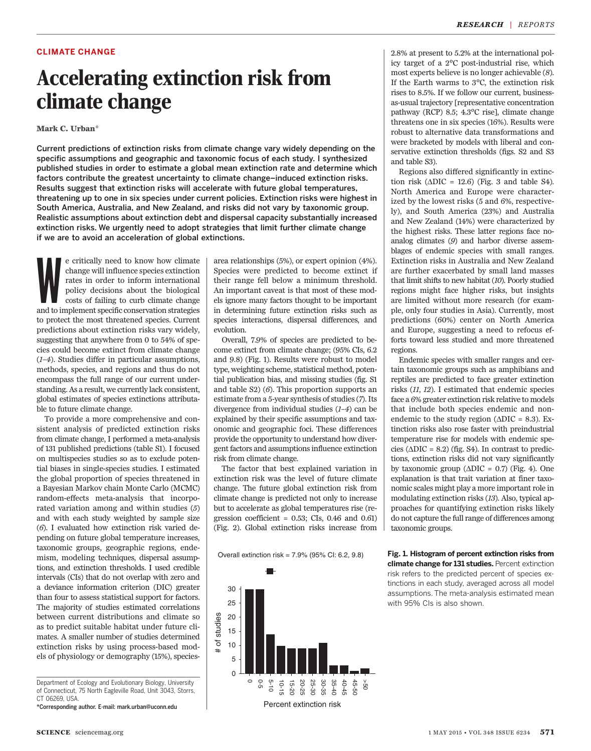# CLIMATE CHANGE

# Accelerating extinction risk from<br>climate change Mark C. Urban\*

Current predictions of extinction risks from climate change vary widely depending on the specific assumptions and geographic and taxonomic focus of each study. I synthesized published studies in order to estimate a global mean extinction rate and determine which factors contribute the greatest uncertainty to climate change*–*induced extinction risks. Results suggest that extinction risks will accelerate with future global temperatures, threatening up to one in six species under current policies. Extinction risks were highest in South America, Australia, and New Zealand, and risks did not vary by taxonomic group. Realistic assumptions about extinction debt and dispersal capacity substantially increased extinction risks. We urgently need to adopt strategies that limit further climate change if we are to avoid an acceleration of global extinctions.

e critically need to know how climate change will influence species extinction rates in order to inform international policy decisions about the biological costs of failing to curb climate change and to implement specific e critically need to know how climate change will influence species extinction rates in order to inform international policy decisions about the biological costs of failing to curb climate change to protect the most threatened species. Current predictions about extinction risks vary widely, suggesting that anywhere from 0 to 54% of species could become extinct from climate change (1–4). Studies differ in particular assumptions, methods, species, and regions and thus do not encompass the full range of our current understanding. As a result, we currently lack consistent, global estimates of species extinctions attributable to future climate change.

To provide a more comprehensive and consistent analysis of predicted extinction risks from climate change, I performed a meta-analysis of 131 published predictions (table S1). I focused on multispecies studies so as to exclude potential biases in single-species studies. I estimated the global proportion of species threatened in a Bayesian Markov chain Monte Carlo (MCMC) random-effects meta-analysis that incorporated variation among and within studies (5) and with each study weighted by sample size (6). I evaluated how extinction risk varied depending on future global temperature increases, taxonomic groups, geographic regions, endemism, modeling techniques, dispersal assumptions, and extinction thresholds. I used credible intervals (CIs) that do not overlap with zero and a deviance information criterion (DIC) greater than four to assess statistical support for factors. The majority of studies estimated correlations between current distributions and climate so as to predict suitable habitat under future climates. A smaller number of studies determined extinction risks by using process-based models of physiology or demography (15%), species-

Department of Ecology and Evolutionary Biology, University of Connecticut, 75 North Eagleville Road, Unit 3043, Storrs, CT 06269, USA.

\*Corresponding author. E-mail: mark.urban@uconn.edu

area relationships (5%), or expert opinion (4%). Species were predicted to become extinct if their range fell below a minimum threshold. An important caveat is that most of these models ignore many factors thought to be important in determining future extinction risks such as species interactions, dispersal differences, and evolution.

Overall, 7.9% of species are predicted to become extinct from climate change; (95% CIs, 6.2 and 9.8) (Fig. 1). Results were robust to model type, weighting scheme, statistical method, potential publication bias, and missing studies (fig. S1 and table S2) (6). This proportion supports an estimate from a 5-year synthesis of studies (7). Its divergence from individual studies  $(1-4)$  can be explained by their specific assumptions and taxonomic and geographic foci. These differences provide the opportunity to understand how divergent factors and assumptions influence extinction risk from climate change.

The factor that best explained variation in extinction risk was the level of future climate change. The future global extinction risk from climate change is predicted not only to increase but to accelerate as global temperatures rise (regression coefficient =  $0.53$ ; CIs,  $0.46$  and  $0.61$ ) (Fig. 2). Global extinction risks increase from

Overall extinction risk = 7.9% (95% CI: 6.2, 9.8)



2.8% at present to 5.2% at the international policy target of a 2°C post-industrial rise, which most experts believe is no longer achievable (8). If the Earth warms to 3°C, the extinction risk rises to 8.5%. If we follow our current, businessas-usual trajectory [representative concentration pathway (RCP) 8.5; 4.3°C rise], climate change threatens one in six species (16%). Results were robust to alternative data transformations and were bracketed by models with liberal and conservative extinction thresholds (figs. S2 and S3 and table S3).

Regions also differed significantly in extinction risk  $(\Delta DIC = 12.6)$  (Fig. 3 and table S4). North America and Europe were characterized by the lowest risks (5 and 6%, respectively), and South America (23%) and Australia and New Zealand (14%) were characterized by the highest risks. These latter regions face noanalog climates (9) and harbor diverse assemblages of endemic species with small ranges. Extinction risks in Australia and New Zealand are further exacerbated by small land masses that limit shifts to new habitat (10). Poorly studied regions might face higher risks, but insights are limited without more research (for example, only four studies in Asia). Currently, most predictions (60%) center on North America and Europe, suggesting a need to refocus efforts toward less studied and more threatened regions.

Endemic species with smaller ranges and certain taxonomic groups such as amphibians and reptiles are predicted to face greater extinction risks (11, 12). I estimated that endemic species face a 6% greater extinction risk relative to models that include both species endemic and nonendemic to the study region ( $\triangle DIC = 8.3$ ). Extinction risks also rose faster with preindustrial temperature rise for models with endemic species ( $\triangle DIC = 8.2$ ) (fig. S4). In contrast to predictions, extinction risks did not vary significantly by taxonomic group ( $\triangle DIC = 0.7$ ) (Fig. 4). One explanation is that trait variation at finer taxonomic scales might play a more important role in modulating extinction risks (13). Also, typical approaches for quantifying extinction risks likely do not capture the full range of differences among taxonomic groups.

Fig. 1. Histogram of percent extinction risks from climate change for 131 studies. Percent extinction risk refers to the predicted percent of species extinctions in each study, averaged across all model assumptions. The meta-analysis estimated mean with 95% CIs is also shown.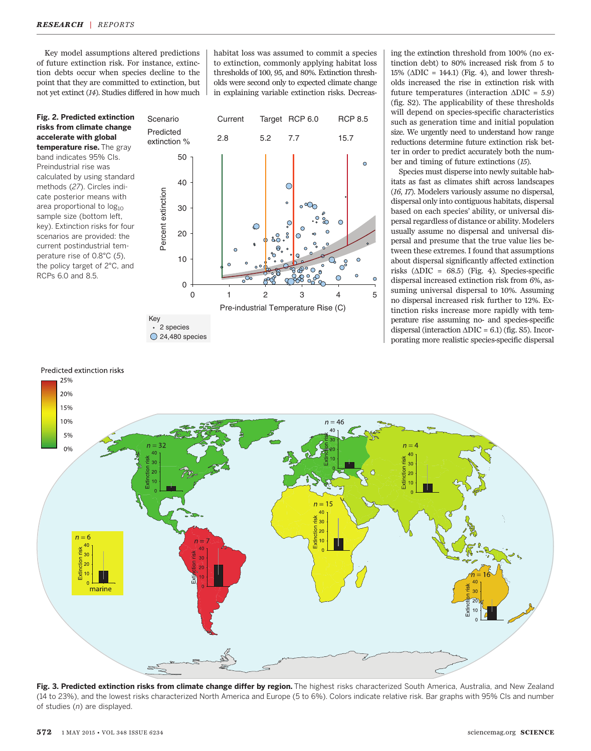Key model assumptions altered predictions of future extinction risk. For instance, extinction debts occur when species decline to the point that they are committed to extinction, but not yet extinct (14). Studies differed in how much

Fig. 2. Predicted extinction risks from climate change accelerate with global temperature rise. The gray band indicates 95% CIs. Preindustrial rise was calculated by using standard methods (27). Circles indicate posterior means with area proportional to  $log_{10}$ sample size (bottom left, key). Extinction risks for four scenarios are provided: the current postindustrial temperature rise of 0.8°C (5), the policy target of 2°C, and RCPs 6.0 and 8.5.

habitat loss was assumed to commit a species to extinction, commonly applying habitat loss thresholds of 100, 95, and 80%. Extinction thresholds were second only to expected climate change in explaining variable extinction risks. Decreas-



◯ 24,480 species

ing the extinction threshold from 100% (no extinction debt) to 80% increased risk from 5 to 15% ( $\triangle DIC = 144.1$ ) (Fig. 4), and lower thresholds increased the rise in extinction risk with future temperatures (interaction  $\triangle DIC = 5.9$ ) (fig. S2). The applicability of these thresholds will depend on species-specific characteristics such as generation time and initial population size. We urgently need to understand how range reductions determine future extinction risk better in order to predict accurately both the number and timing of future extinctions (15).

Species must disperse into newly suitable habitats as fast as climates shift across landscapes (16, 17). Modelers variously assume no dispersal, dispersal only into contiguous habitats, dispersal based on each species' ability, or universal dispersal regardless of distance or ability. Modelers usually assume no dispersal and universal dispersal and presume that the true value lies between these extremes. I found that assumptions about dispersal significantly affected extinction risks ( $\triangle DIC = 68.5$ ) (Fig. 4). Species-specific dispersal increased extinction risk from 6%, assuming universal dispersal to 10%. Assuming no dispersal increased risk further to 12%. Extinction risks increase more rapidly with temperature rise assuming no- and species-specific dispersal (interaction  $\triangle DIC = 6.1$ ) (fig. S5). Incorporating more realistic species-specific dispersal



Fig. 3. Predicted extinction risks from climate change differ by region. The highest risks characterized South America, Australia, and New Zealand (14 to 23%), and the lowest risks characterized North America and Europe (5 to 6%). Colors indicate relative risk. Bar graphs with 95% CIs and number of studies (n) are displayed.

# Predicted extinction risks